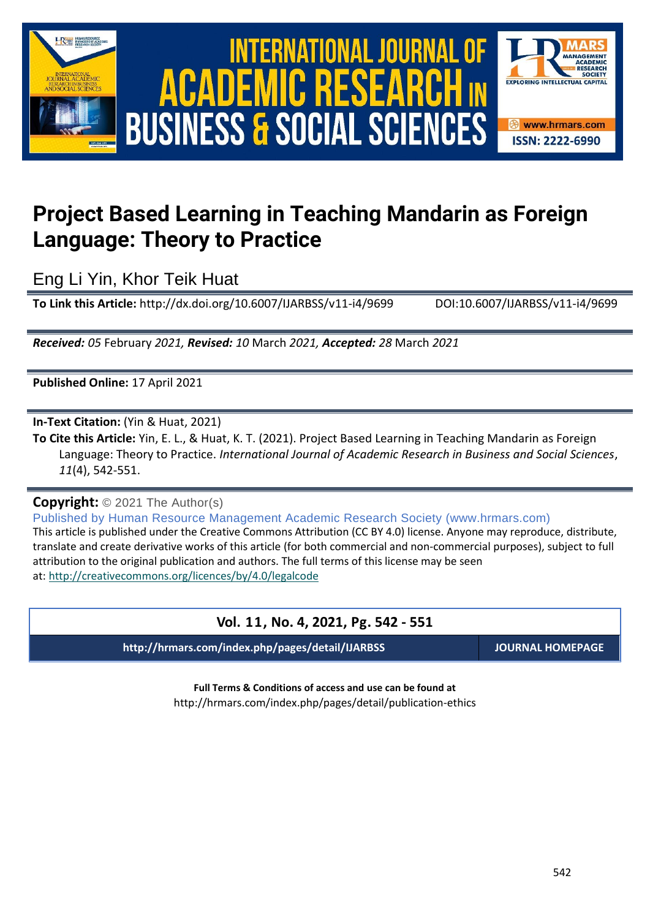

# International Journal of Academic Research in Business and Social Sciences **Vol. 1 1 , No. 4, 2021, E-ISSN: 2222-6990 © 2021 HRMARS ACADEMIC BUSINESS & SOCIAL SCIENCES**



## **Project Based Learning in Teaching Mandarin as Foreign Language: Theory to Practice**

Eng Li Yin, Khor Teik Huat

**To Link this Article:** http://dx.doi.org/10.6007/IJARBSS/v11-i4/9699 DOI:10.6007/IJARBSS/v11-i4/9699

*Received: 05* February *2021, Revised: 10* March *2021, Accepted: 28* March *2021*

**Published Online:** 17 April 2021

**In-Text Citation:** (Yin & Huat, 2021)

**To Cite this Article:** Yin, E. L., & Huat, K. T. (2021). Project Based Learning in Teaching Mandarin as Foreign Language: Theory to Practice. *International Journal of Academic Research in Business and Social Sciences*, *11*(4), 542-551.

**Copyright:** © 2021 The Author(s)

Published by Human Resource Management Academic Research Society (www.hrmars.com) This article is published under the Creative Commons Attribution (CC BY 4.0) license. Anyone may reproduce, distribute, translate and create derivative works of this article (for both commercial and non-commercial purposes), subject to full attribution to the original publication and authors. The full terms of this license may be seen at: <http://creativecommons.org/licences/by/4.0/legalcode>

## **Vol. 11, No. 4, 2021, Pg. 542 - 551**

**http://hrmars.com/index.php/pages/detail/IJARBSS JOURNAL HOMEPAGE**

**Full Terms & Conditions of access and use can be found at** http://hrmars.com/index.php/pages/detail/publication-ethics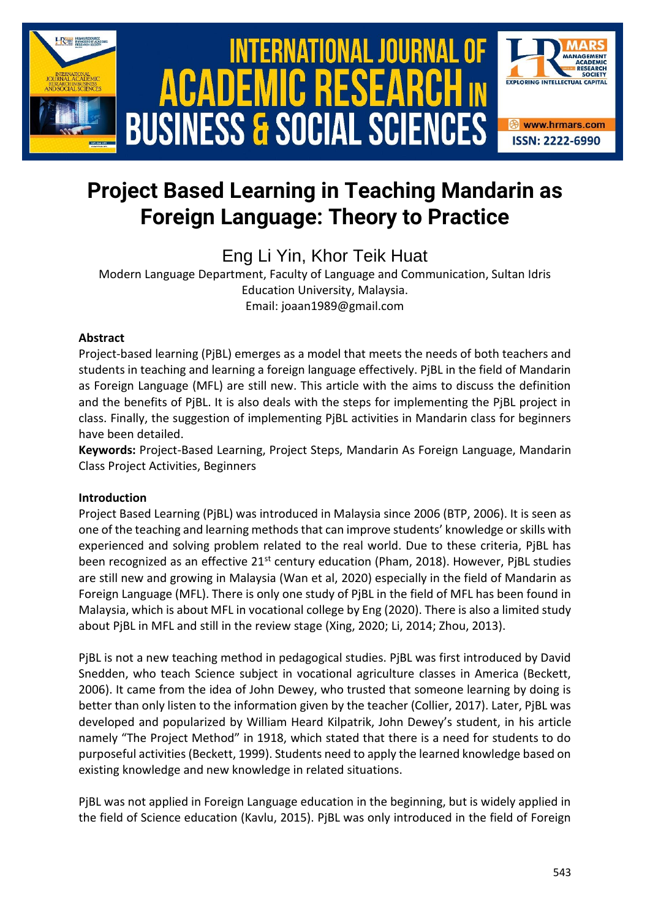

## **Project Based Learning in Teaching Mandarin as Foreign Language: Theory to Practice**

Eng Li Yin, Khor Teik Huat

Modern Language Department, Faculty of Language and Communication, Sultan Idris Education University, Malaysia. Email: joaan1989@gmail.com

## **Abstract**

Project-based learning (PjBL) emerges as a model that meets the needs of both teachers and students in teaching and learning a foreign language effectively. PjBL in the field of Mandarin as Foreign Language (MFL) are still new. This article with the aims to discuss the definition and the benefits of PjBL. It is also deals with the steps for implementing the PjBL project in class. Finally, the suggestion of implementing PjBL activities in Mandarin class for beginners have been detailed.

**Keywords:** Project-Based Learning, Project Steps, Mandarin As Foreign Language, Mandarin Class Project Activities, Beginners

## **Introduction**

Project Based Learning (PjBL) was introduced in Malaysia since 2006 (BTP, 2006). It is seen as one of the teaching and learning methods that can improve students' knowledge or skills with experienced and solving problem related to the real world. Due to these criteria, PjBL has been recognized as an effective 21<sup>st</sup> century education (Pham, 2018). However, PjBL studies are still new and growing in Malaysia (Wan et al, 2020) especially in the field of Mandarin as Foreign Language (MFL). There is only one study of PjBL in the field of MFL has been found in Malaysia, which is about MFL in vocational college by Eng (2020). There is also a limited study about PjBL in MFL and still in the review stage (Xing, 2020; Li, 2014; Zhou, 2013).

PjBL is not a new teaching method in pedagogical studies. PjBL was first introduced by David Snedden, who teach Science subject in vocational agriculture classes in America (Beckett, 2006). It came from the idea of John Dewey, who trusted that someone learning by doing is better than only listen to the information given by the teacher (Collier, 2017). Later, PjBL was developed and popularized by William Heard Kilpatrik, John Dewey's student, in his article namely "The Project Method" in 1918, which stated that there is a need for students to do purposeful activities (Beckett, 1999). Students need to apply the learned knowledge based on existing knowledge and new knowledge in related situations.

PjBL was not applied in Foreign Language education in the beginning, but is widely applied in the field of Science education (Kavlu, 2015). PjBL was only introduced in the field of Foreign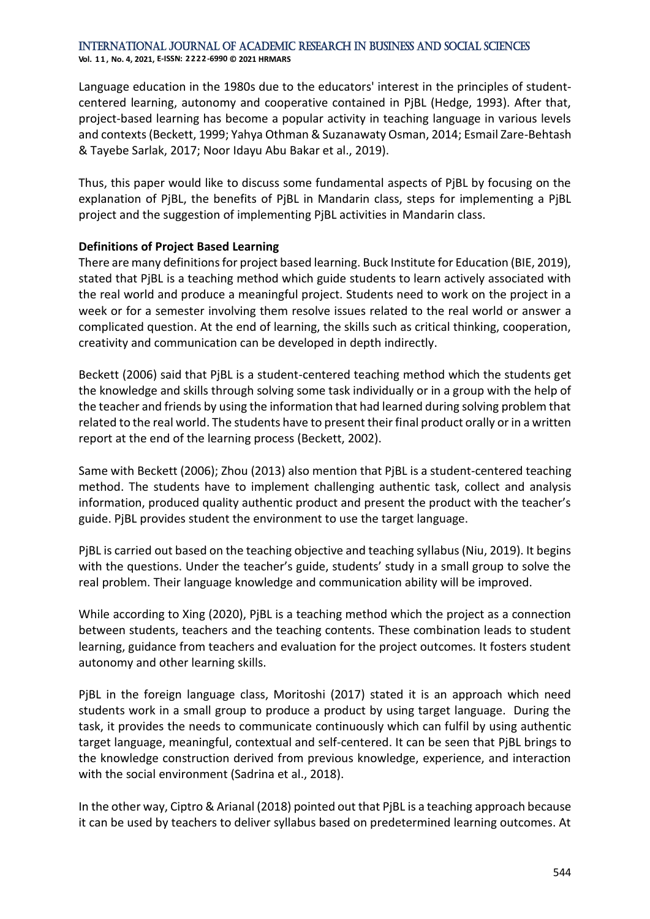**Vol. 1 1 , No. 4, 2021, E-ISSN: 2222-6990 © 2021 HRMARS**

Language education in the 1980s due to the educators' interest in the principles of studentcentered learning, autonomy and cooperative contained in PjBL (Hedge, 1993). After that, project-based learning has become a popular activity in teaching language in various levels and contexts (Beckett, 1999; Yahya Othman & Suzanawaty Osman, 2014; Esmail Zare-Behtash & Tayebe Sarlak, 2017; Noor Idayu Abu Bakar et al., 2019).

Thus, this paper would like to discuss some fundamental aspects of PjBL by focusing on the explanation of PjBL, the benefits of PjBL in Mandarin class, steps for implementing a PjBL project and the suggestion of implementing PjBL activities in Mandarin class.

#### **Definitions of Project Based Learning**

There are many definitions for project based learning. Buck Institute for Education (BIE, 2019), stated that PjBL is a teaching method which guide students to learn actively associated with the real world and produce a meaningful project. Students need to work on the project in a week or for a semester involving them resolve issues related to the real world or answer a complicated question. At the end of learning, the skills such as critical thinking, cooperation, creativity and communication can be developed in depth indirectly.

Beckett (2006) said that PjBL is a student-centered teaching method which the students get the knowledge and skills through solving some task individually or in a group with the help of the teacher and friends by using the information that had learned during solving problem that related to the real world. The students have to present their final product orally or in a written report at the end of the learning process (Beckett, 2002).

Same with Beckett (2006); Zhou (2013) also mention that PjBL is a student-centered teaching method. The students have to implement challenging authentic task, collect and analysis information, produced quality authentic product and present the product with the teacher's guide. PjBL provides student the environment to use the target language.

PjBL is carried out based on the teaching objective and teaching syllabus (Niu, 2019). It begins with the questions. Under the teacher's guide, students' study in a small group to solve the real problem. Their language knowledge and communication ability will be improved.

While according to Xing (2020), PjBL is a teaching method which the project as a connection between students, teachers and the teaching contents. These combination leads to student learning, guidance from teachers and evaluation for the project outcomes. It fosters student autonomy and other learning skills.

PjBL in the foreign language class, Moritoshi (2017) stated it is an approach which need students work in a small group to produce a product by using target language. During the task, it provides the needs to communicate continuously which can fulfil by using authentic target language, meaningful, contextual and self-centered. It can be seen that PjBL brings to the knowledge construction derived from previous knowledge, experience, and interaction with the social environment (Sadrina et al., 2018).

In the other way, Ciptro & Arianal (2018) pointed out that PjBL is a teaching approach because it can be used by teachers to deliver syllabus based on predetermined learning outcomes. At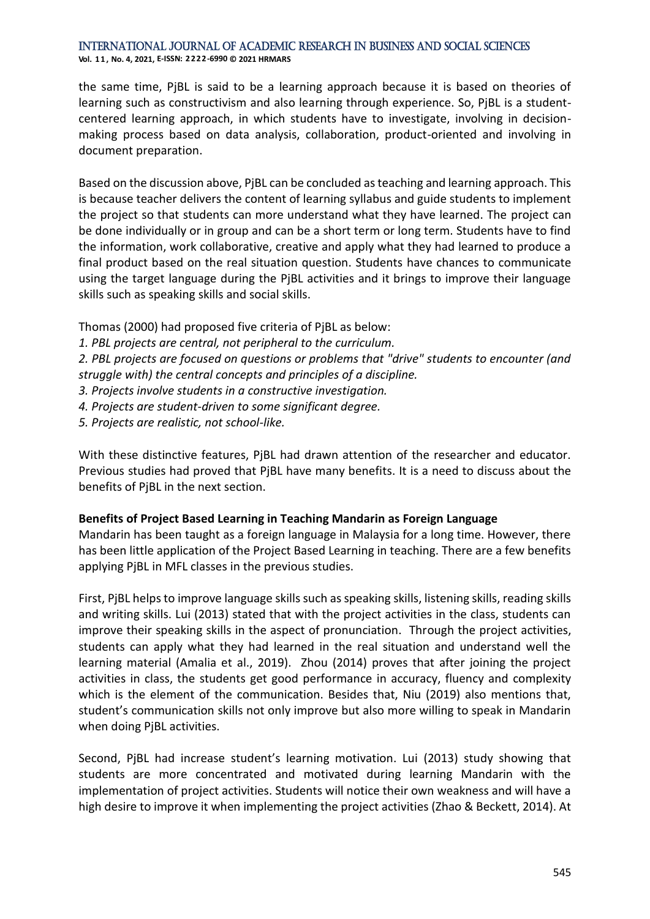**Vol. 1 1 , No. 4, 2021, E-ISSN: 2222-6990 © 2021 HRMARS**

the same time, PjBL is said to be a learning approach because it is based on theories of learning such as constructivism and also learning through experience. So, PjBL is a studentcentered learning approach, in which students have to investigate, involving in decisionmaking process based on data analysis, collaboration, product-oriented and involving in document preparation.

Based on the discussion above, PjBL can be concluded as teaching and learning approach. This is because teacher delivers the content of learning syllabus and guide students to implement the project so that students can more understand what they have learned. The project can be done individually or in group and can be a short term or long term. Students have to find the information, work collaborative, creative and apply what they had learned to produce a final product based on the real situation question. Students have chances to communicate using the target language during the PjBL activities and it brings to improve their language skills such as speaking skills and social skills.

- Thomas (2000) had proposed five criteria of PjBL as below:
- *1. PBL projects are central, not peripheral to the curriculum.*

*2. PBL projects are focused on questions or problems that "drive" students to encounter (and struggle with) the central concepts and principles of a discipline.*

- *3. Projects involve students in a constructive investigation.*
- *4. Projects are student-driven to some significant degree.*
- *5. Projects are realistic, not school-like.*

With these distinctive features, PjBL had drawn attention of the researcher and educator. Previous studies had proved that PjBL have many benefits. It is a need to discuss about the benefits of PjBL in the next section.

#### **Benefits of Project Based Learning in Teaching Mandarin as Foreign Language**

Mandarin has been taught as a foreign language in Malaysia for a long time. However, there has been little application of the Project Based Learning in teaching. There are a few benefits applying PjBL in MFL classes in the previous studies.

First, PjBL helps to improve language skills such as speaking skills, listening skills, reading skills and writing skills. Lui (2013) stated that with the project activities in the class, students can improve their speaking skills in the aspect of pronunciation. Through the project activities, students can apply what they had learned in the real situation and understand well the learning material (Amalia et al., 2019). Zhou (2014) proves that after joining the project activities in class, the students get good performance in accuracy, fluency and complexity which is the element of the communication. Besides that, Niu (2019) also mentions that, student's communication skills not only improve but also more willing to speak in Mandarin when doing PjBL activities.

Second, PjBL had increase student's learning motivation. Lui (2013) study showing that students are more concentrated and motivated during learning Mandarin with the implementation of project activities. Students will notice their own weakness and will have a high desire to improve it when implementing the project activities (Zhao & Beckett, 2014). At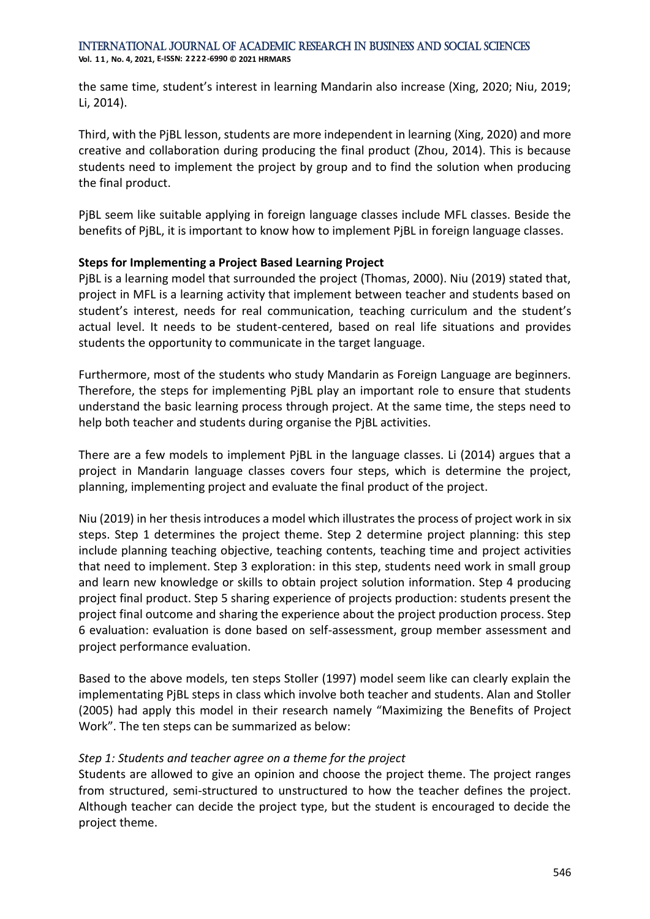#### International Journal of Academic Research in Business and Social Sciences **Vol. 1 1 , No. 4, 2021, E-ISSN: 2222-6990 © 2021 HRMARS**

the same time, student's interest in learning Mandarin also increase (Xing, 2020; Niu, 2019; Li, 2014).

Third, with the PjBL lesson, students are more independent in learning (Xing, 2020) and more creative and collaboration during producing the final product (Zhou, 2014). This is because students need to implement the project by group and to find the solution when producing the final product.

PjBL seem like suitable applying in foreign language classes include MFL classes. Beside the benefits of PjBL, it is important to know how to implement PjBL in foreign language classes.

#### **Steps for Implementing a Project Based Learning Project**

PjBL is a learning model that surrounded the project (Thomas, 2000). Niu (2019) stated that, project in MFL is a learning activity that implement between teacher and students based on student's interest, needs for real communication, teaching curriculum and the student's actual level. It needs to be student-centered, based on real life situations and provides students the opportunity to communicate in the target language.

Furthermore, most of the students who study Mandarin as Foreign Language are beginners. Therefore, the steps for implementing PjBL play an important role to ensure that students understand the basic learning process through project. At the same time, the steps need to help both teacher and students during organise the PjBL activities.

There are a few models to implement PjBL in the language classes. Li (2014) argues that a project in Mandarin language classes covers four steps, which is determine the project, planning, implementing project and evaluate the final product of the project.

Niu (2019) in her thesis introduces a model which illustrates the process of project work in six steps. Step 1 determines the project theme. Step 2 determine project planning: this step include planning teaching objective, teaching contents, teaching time and project activities that need to implement. Step 3 exploration: in this step, students need work in small group and learn new knowledge or skills to obtain project solution information. Step 4 producing project final product. Step 5 sharing experience of projects production: students present the project final outcome and sharing the experience about the project production process. Step 6 evaluation: evaluation is done based on self-assessment, group member assessment and project performance evaluation.

Based to the above models, ten steps Stoller (1997) model seem like can clearly explain the implementating PjBL steps in class which involve both teacher and students. Alan and Stoller (2005) had apply this model in their research namely "Maximizing the Benefits of Project Work". The ten steps can be summarized as below:

#### *Step 1: Students and teacher agree on a theme for the project*

Students are allowed to give an opinion and choose the project theme. The project ranges from structured, semi-structured to unstructured to how the teacher defines the project. Although teacher can decide the project type, but the student is encouraged to decide the project theme.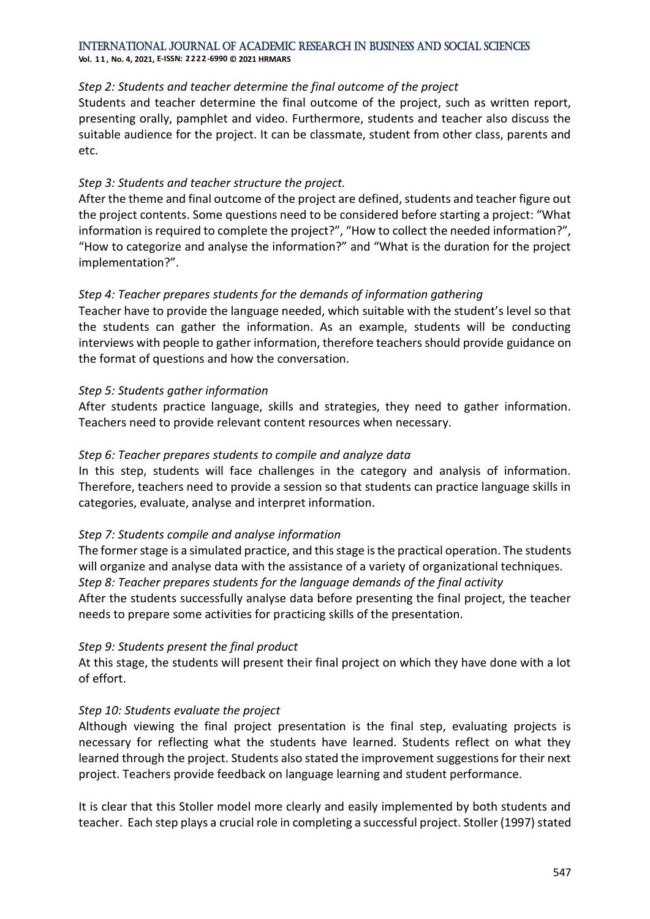**Vol. 1 1 , No. 4, 2021, E-ISSN: 2222-6990 © 2021 HRMARS**

#### *Step 2: Students and teacher determine the final outcome of the project*

Students and teacher determine the final outcome of the project, such as written report, presenting orally, pamphlet and video. Furthermore, students and teacher also discuss the suitable audience for the project. It can be classmate, student from other class, parents and etc.

## *Step 3: Students and teacher structure the project.*

After the theme and final outcome of the project are defined, students and teacher figure out the project contents. Some questions need to be considered before starting a project: "What information is required to complete the project?", "How to collect the needed information?", "How to categorize and analyse the information?" and "What is the duration for the project implementation?".

## *Step 4: Teacher prepares students for the demands of information gathering*

Teacher have to provide the language needed, which suitable with the student's level so that the students can gather the information. As an example, students will be conducting interviews with people to gather information, therefore teachers should provide guidance on the format of questions and how the conversation.

## *Step 5: Students gather information*

After students practice language, skills and strategies, they need to gather information. Teachers need to provide relevant content resources when necessary.

## *Step 6: Teacher prepares students to compile and analyze data*

In this step, students will face challenges in the category and analysis of information. Therefore, teachers need to provide a session so that students can practice language skills in categories, evaluate, analyse and interpret information.

## *Step 7: Students compile and analyse information*

The former stage is a simulated practice, and this stage is the practical operation. The students will organize and analyse data with the assistance of a variety of organizational techniques. *Step 8: Teacher prepares students for the language demands of the final activity* After the students successfully analyse data before presenting the final project, the teacher needs to prepare some activities for practicing skills of the presentation.

## *Step 9: Students present the final product*

At this stage, the students will present their final project on which they have done with a lot of effort.

## *Step 10: Students evaluate the project*

Although viewing the final project presentation is the final step, evaluating projects is necessary for reflecting what the students have learned. Students reflect on what they learned through the project. Students also stated the improvement suggestions for their next project. Teachers provide feedback on language learning and student performance.

It is clear that this Stoller model more clearly and easily implemented by both students and teacher. Each step plays a crucial role in completing a successful project. Stoller (1997) stated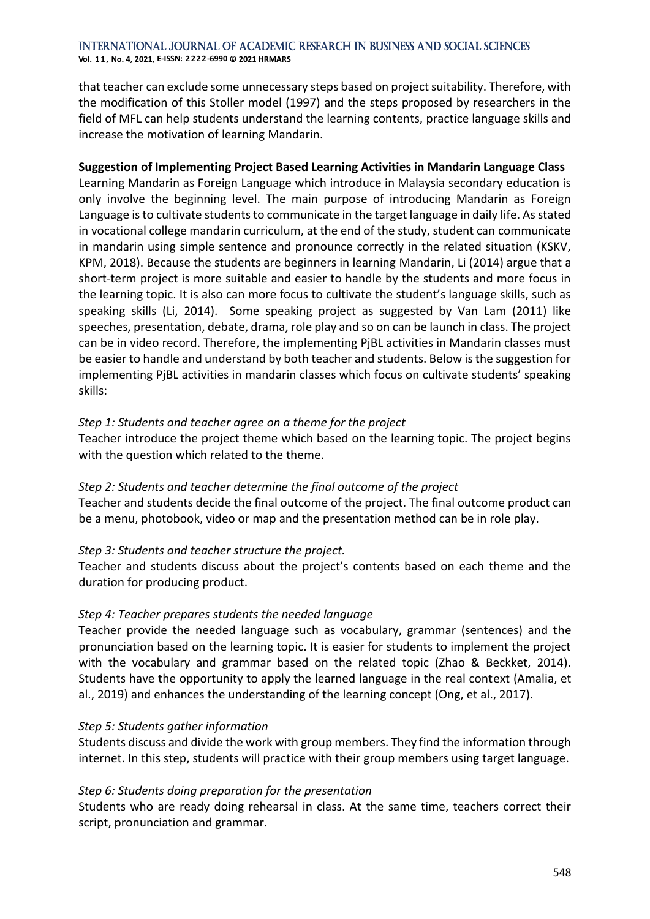#### International Journal of Academic Research in Business and Social Sciences **Vol. 1 1 , No. 4, 2021, E-ISSN: 2222-6990 © 2021 HRMARS**

that teacher can exclude some unnecessary steps based on project suitability. Therefore, with the modification of this Stoller model (1997) and the steps proposed by researchers in the field of MFL can help students understand the learning contents, practice language skills and increase the motivation of learning Mandarin.

#### **Suggestion of Implementing Project Based Learning Activities in Mandarin Language Class**

Learning Mandarin as Foreign Language which introduce in Malaysia secondary education is only involve the beginning level. The main purpose of introducing Mandarin as Foreign Language is to cultivate students to communicate in the target language in daily life. As stated in vocational college mandarin curriculum, at the end of the study, student can communicate in mandarin using simple sentence and pronounce correctly in the related situation (KSKV, KPM, 2018). Because the students are beginners in learning Mandarin, Li (2014) argue that a short-term project is more suitable and easier to handle by the students and more focus in the learning topic. It is also can more focus to cultivate the student's language skills, such as speaking skills (Li, 2014). Some speaking project as suggested by Van Lam (2011) like speeches, presentation, debate, drama, role play and so on can be launch in class. The project can be in video record. Therefore, the implementing PjBL activities in Mandarin classes must be easier to handle and understand by both teacher and students. Below is the suggestion for implementing PjBL activities in mandarin classes which focus on cultivate students' speaking skills:

#### *Step 1: Students and teacher agree on a theme for the project*

Teacher introduce the project theme which based on the learning topic. The project begins with the question which related to the theme.

#### *Step 2: Students and teacher determine the final outcome of the project*

Teacher and students decide the final outcome of the project. The final outcome product can be a menu, photobook, video or map and the presentation method can be in role play.

## *Step 3: Students and teacher structure the project.*

Teacher and students discuss about the project's contents based on each theme and the duration for producing product.

## *Step 4: Teacher prepares students the needed language*

Teacher provide the needed language such as vocabulary, grammar (sentences) and the pronunciation based on the learning topic. It is easier for students to implement the project with the vocabulary and grammar based on the related topic (Zhao & Beckket, 2014). Students have the opportunity to apply the learned language in the real context (Amalia, et al., 2019) and enhances the understanding of the learning concept (Ong, et al., 2017).

#### *Step 5: Students gather information*

Students discuss and divide the work with group members. They find the information through internet. In this step, students will practice with their group members using target language.

## *Step 6: Students doing preparation for the presentation*

Students who are ready doing rehearsal in class. At the same time, teachers correct their script, pronunciation and grammar.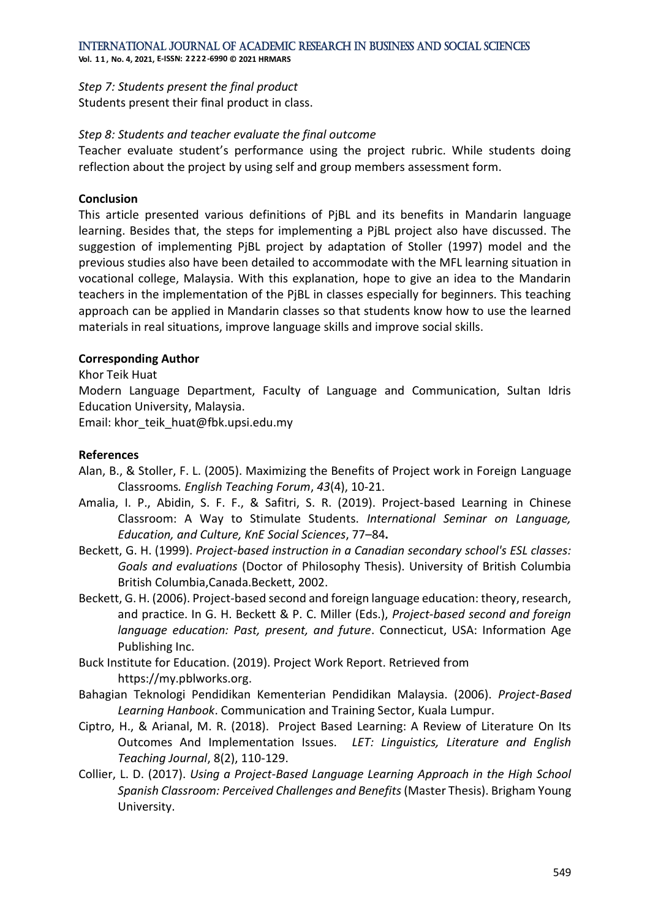**Vol. 1 1 , No. 4, 2021, E-ISSN: 2222-6990 © 2021 HRMARS**

*Step 7: Students present the final product* Students present their final product in class.

#### *Step 8: Students and teacher evaluate the final outcome*

Teacher evaluate student's performance using the project rubric. While students doing reflection about the project by using self and group members assessment form.

#### **Conclusion**

This article presented various definitions of PjBL and its benefits in Mandarin language learning. Besides that, the steps for implementing a PjBL project also have discussed. The suggestion of implementing PjBL project by adaptation of Stoller (1997) model and the previous studies also have been detailed to accommodate with the MFL learning situation in vocational college, Malaysia. With this explanation, hope to give an idea to the Mandarin teachers in the implementation of the PjBL in classes especially for beginners. This teaching approach can be applied in Mandarin classes so that students know how to use the learned materials in real situations, improve language skills and improve social skills.

#### **Corresponding Author**

Khor Teik Huat

Modern Language Department, Faculty of Language and Communication, Sultan Idris Education University, Malaysia.

Email: khor\_teik\_huat@fbk.upsi.edu.my

#### **References**

- Alan, B., & Stoller, F. L. (2005). Maximizing the Benefits of Project work in Foreign Language Classrooms*. English Teaching Forum*, *43*(4), 10-21.
- Amalia, I. P., Abidin, S. F. F., & Safitri, S. R. (2019). Project-based Learning in Chinese Classroom: A Way to Stimulate Students. *International Seminar on Language, Education, and Culture, KnE Social Sciences*, 77–84**.**
- Beckett, G. H. (1999). *Project-based instruction in a Canadian secondary school's ESL classes: Goals and evaluations* (Doctor of Philosophy Thesis). University of British Columbia British Columbia,Canada.Beckett, 2002.
- Beckett, G. H. (2006). Project-based second and foreign language education: theory, research, and practice. In G. H. Beckett & P. C. Miller (Eds.), *Project-based second and foreign language education: Past, present, and future*. Connecticut, USA: Information Age Publishing Inc.
- Buck Institute for Education. (2019). Project Work Report. Retrieved from https://my.pblworks.org.
- Bahagian Teknologi Pendidikan Kementerian Pendidikan Malaysia. (2006). *Project-Based Learning Hanbook*. Communication and Training Sector, Kuala Lumpur.
- Ciptro, H., & Arianal, M. R. (2018). Project Based Learning: A Review of Literature On Its Outcomes And Implementation Issues. *LET: Linguistics, Literature and English Teaching Journal*, 8(2), 110-129.
- Collier, L. D. (2017). *Using a Project-Based Language Learning Approach in the High School Spanish Classroom: Perceived Challenges and Benefits* (Master Thesis). Brigham Young University.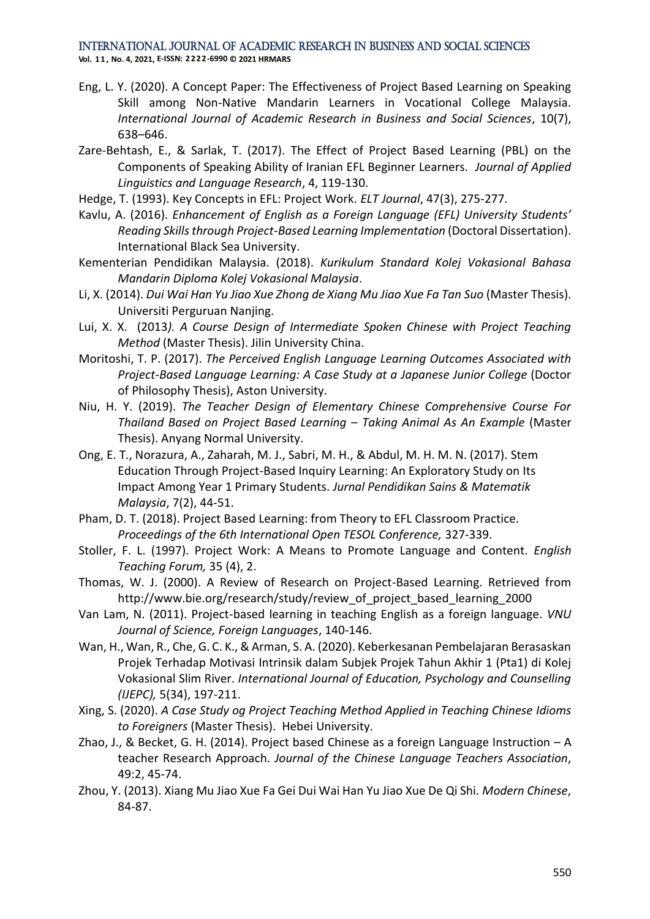**Vol. 1 1 , No. 4, 2021, E-ISSN: 2222-6990 © 2021 HRMARS**

- Eng, L. Y. (2020). A Concept Paper: The Effectiveness of Project Based Learning on Speaking Skill among Non-Native Mandarin Learners in Vocational College Malaysia. *International Journal of Academic Research in Business and Social Sciences*, 10(7), 638–646.
- Zare-Behtash, E., & Sarlak, T. (2017). The Effect of Project Based Learning (PBL) on the Components of Speaking Ability of Iranian EFL Beginner Learners. *Journal of Applied Linguistics and Language Research*, 4, 119-130.
- Hedge, T. (1993). Key Concepts in EFL: Project Work. *ELT Journal*, 47(3), 275-277.
- Kavlu, A. (2016). *Enhancement of English as a Foreign Language (EFL) University Students' Reading Skills through Project-Based Learning Implementation* (Doctoral Dissertation). International Black Sea University.
- Kementerian Pendidikan Malaysia. (2018). *Kurikulum Standard Kolej Vokasional Bahasa Mandarin Diploma Kolej Vokasional Malaysia*.
- Li, X. (2014). *Dui Wai Han Yu Jiao Xue Zhong de Xiang Mu Jiao Xue Fa Tan Suo* (Master Thesis). Universiti Perguruan Nanjing.
- Lui, X. X. (2013*). A Course Design of Intermediate Spoken Chinese with Project Teaching Method* (Master Thesis). Jilin University China.
- Moritoshi, T. P. (2017). *The Perceived English Language Learning Outcomes Associated with Project-Based Language Learning: A Case Study at a Japanese Junior College* (Doctor of Philosophy Thesis), Aston University.
- Niu, H. Y. (2019). *The Teacher Design of Elementary Chinese Comprehensive Course For Thailand Based on Project Based Learning – Taking Animal As An Example* (Master Thesis). Anyang Normal University.
- Ong, E. T., Norazura, A., Zaharah, M. J., Sabri, M. H., & Abdul, M. H. M. N. (2017). Stem Education Through Project-Based Inquiry Learning: An Exploratory Study on Its Impact Among Year 1 Primary Students. *Jurnal Pendidikan Sains & Matematik Malaysia*, 7(2), 44-51.
- Pham, D. T. (2018). Project Based Learning: from Theory to EFL Classroom Practice. *Proceedings of the 6th International Open TESOL Conference,* 327-339.
- Stoller, F. L. (1997). Project Work: A Means to Promote Language and Content. *English Teaching Forum,* 35 (4), 2.
- Thomas, W. J. (2000). A Review of Research on Project-Based Learning. Retrieved from http://www.bie.org/research/study/review\_of\_project\_based\_learning\_2000
- Van Lam, N. (2011). Project-based learning in teaching English as a foreign language. *VNU Journal of Science, Foreign Languages*, 140-146.
- Wan, H., Wan, R., Che, G. C. K., & Arman, S. A. (2020). Keberkesanan Pembelajaran Berasaskan Projek Terhadap Motivasi Intrinsik dalam Subjek Projek Tahun Akhir 1 (Pta1) di Kolej Vokasional Slim River. *International Journal of Education, Psychology and Counselling (IJEPC),* 5(34), 197-211.
- Xing, S. (2020). *A Case Study og Project Teaching Method Applied in Teaching Chinese Idioms to Foreigners* (Master Thesis). Hebei University.
- Zhao, J., & Becket, G. H. (2014). Project based Chinese as a foreign Language Instruction  $-A$ teacher Research Approach. *Journal of the Chinese Language Teachers Association*, 49:2, 45-74.
- Zhou, Y. (2013). Xiang Mu Jiao Xue Fa Gei Dui Wai Han Yu Jiao Xue De Qi Shi. *Modern Chinese*, 84-87.